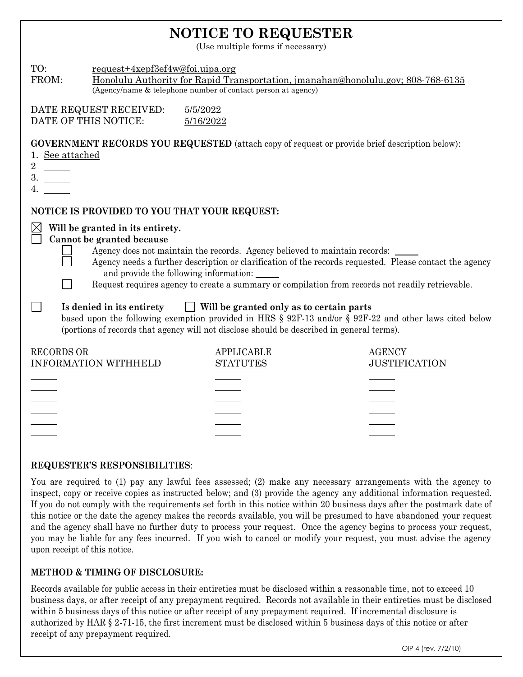## **NOTICE TO REQUESTER**

(Use multiple forms if necessary)

| TO:<br>FROM:                                                                                                                                                                                                                                                                                                                                                                                                     | request+4xepf3ef4w@foi.uipa.org<br>Honolulu Authority for Rapid Transportation, jmanahan@honolulu.gov; 808-768-6135<br>(Agency/name & telephone number of contact person at agency) |                                      |                                       |  |  |  |  |
|------------------------------------------------------------------------------------------------------------------------------------------------------------------------------------------------------------------------------------------------------------------------------------------------------------------------------------------------------------------------------------------------------------------|-------------------------------------------------------------------------------------------------------------------------------------------------------------------------------------|--------------------------------------|---------------------------------------|--|--|--|--|
| DATE REQUEST RECEIVED:<br>5/5/2022<br>DATE OF THIS NOTICE:<br>5/16/2022                                                                                                                                                                                                                                                                                                                                          |                                                                                                                                                                                     |                                      |                                       |  |  |  |  |
| <b>GOVERNMENT RECORDS YOU REQUESTED</b> (attach copy of request or provide brief description below):<br>1. See attached<br>3.                                                                                                                                                                                                                                                                                    |                                                                                                                                                                                     |                                      |                                       |  |  |  |  |
| NOTICE IS PROVIDED TO YOU THAT YOUR REQUEST:                                                                                                                                                                                                                                                                                                                                                                     |                                                                                                                                                                                     |                                      |                                       |  |  |  |  |
| $\times$<br>Will be granted in its entirety.<br>Cannot be granted because<br>Agency does not maintain the records. Agency believed to maintain records:<br>Agency needs a further description or clarification of the records requested. Please contact the agency<br>and provide the following information:<br>Request requires agency to create a summary or compilation from records not readily retrievable. |                                                                                                                                                                                     |                                      |                                       |  |  |  |  |
| $\Box$ Will be granted only as to certain parts<br>Is denied in its entirety<br>based upon the following exemption provided in HRS § 92F-13 and/or § 92F-22 and other laws cited below<br>(portions of records that agency will not disclose should be described in general terms).                                                                                                                              |                                                                                                                                                                                     |                                      |                                       |  |  |  |  |
| <b>RECORDS OR</b>                                                                                                                                                                                                                                                                                                                                                                                                | <b>INFORMATION WITHHELD</b>                                                                                                                                                         | <b>APPLICABLE</b><br><b>STATUTES</b> | <b>AGENCY</b><br><b>JUSTIFICATION</b> |  |  |  |  |
|                                                                                                                                                                                                                                                                                                                                                                                                                  |                                                                                                                                                                                     |                                      |                                       |  |  |  |  |
|                                                                                                                                                                                                                                                                                                                                                                                                                  |                                                                                                                                                                                     |                                      |                                       |  |  |  |  |
|                                                                                                                                                                                                                                                                                                                                                                                                                  |                                                                                                                                                                                     |                                      |                                       |  |  |  |  |
|                                                                                                                                                                                                                                                                                                                                                                                                                  |                                                                                                                                                                                     |                                      |                                       |  |  |  |  |
|                                                                                                                                                                                                                                                                                                                                                                                                                  |                                                                                                                                                                                     |                                      |                                       |  |  |  |  |

## **REQUESTER'S RESPONSIBILITIES**:

You are required to (1) pay any lawful fees assessed; (2) make any necessary arrangements with the agency to inspect, copy or receive copies as instructed below; and (3) provide the agency any additional information requested. If you do not comply with the requirements set forth in this notice within 20 business days after the postmark date of this notice or the date the agency makes the records available, you will be presumed to have abandoned your request and the agency shall have no further duty to process your request. Once the agency begins to process your request, you may be liable for any fees incurred. If you wish to cancel or modify your request, you must advise the agency upon receipt of this notice.

## **METHOD & TIMING OF DISCLOSURE:**

Records available for public access in their entireties must be disclosed within a reasonable time, not to exceed 10 business days, or after receipt of any prepayment required. Records not available in their entireties must be disclosed within 5 business days of this notice or after receipt of any prepayment required. If incremental disclosure is authorized by HAR § 2-71-15, the first increment must be disclosed within 5 business days of this notice or after receipt of any prepayment required.